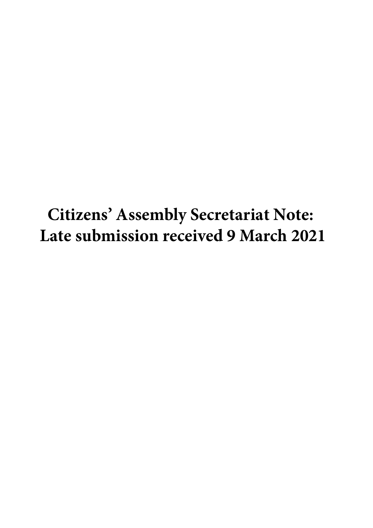**Citizens' Assembly Secretariat Note: Late submission received 9 March 2021**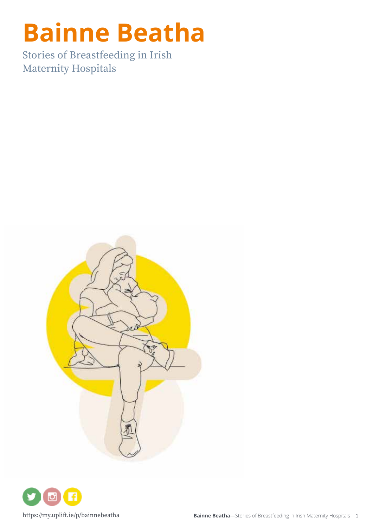# **Bainne Beatha**

Stories of Breastfeeding in Irish Maternity Hospitals



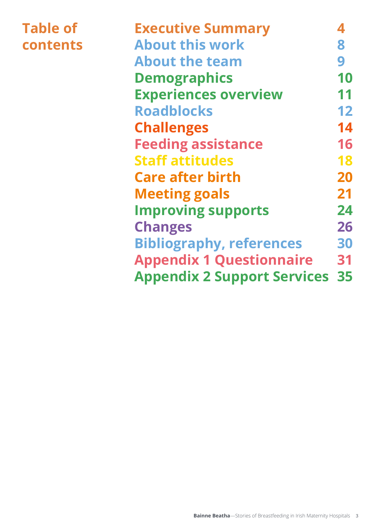# **Table of contents**

| <b>Executive Summary</b>              |    |
|---------------------------------------|----|
| <b>About this work</b>                | 8  |
| <b>About the team</b>                 | 9  |
| <b>Demographics</b>                   | 10 |
| <b>Experiences overview</b>           | 11 |
| <b>Roadblocks</b>                     | 12 |
| <b>Challenges</b>                     | 14 |
| <b>Feeding assistance</b>             | 16 |
| <b>Staff attitudes</b>                | 18 |
| <b>Care after birth</b>               | 20 |
| <b>Meeting goals</b>                  | 21 |
| <b>Improving supports</b>             | 24 |
| <b>Changes</b>                        | 26 |
| <b>Bibliography, references</b>       | 30 |
| <b>Appendix 1 Questionnaire</b>       | 31 |
| <b>Appendix 2 Support Services 35</b> |    |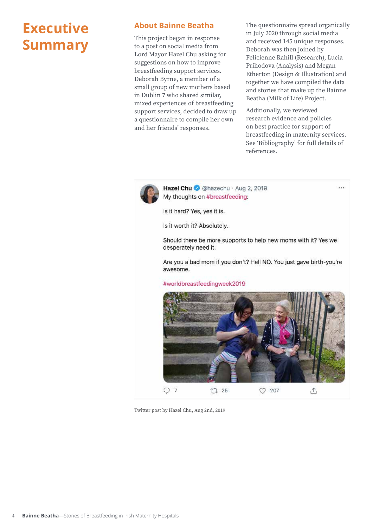# **Executive Summary**

## **About Bainne Beatha**

This project began in response to a post on social media from Lord Mayor Hazel Chu asking for suggestions on how to improve breastfeeding support services. Deborah Byrne, a member of a small group of new mothers based in Dublin 7 who shared similar, mixed experiences of breastfeeding support services, decided to draw up a questionnaire to compile her own and her friends' responses.

The questionnaire spread organically in July 2020 through social media and received 145 unique responses. Deborah was then joined by Felicienne Rahill (Research), Lucia Prihodova (Analysis) and Megan Etherton (Design & Illustration) and together we have compiled the data and stories that make up the Bainne Beatha (Milk of Life) Project.

Additionally, we reviewed research evidence and policies on best practice for support of breastfeeding in maternity services. See 'Bibliography' for full details of references.

ica in



Hazel Chu @ @hazechu · Aug 2, 2019 My thoughts on #breastfeeding:

Is it hard? Yes, yes it is.

Is it worth it? Absolutely.

Should there be more supports to help new moms with it? Yes we desperately need it.

Are you a bad mom if you don't? Hell NO. You just gave birth-you're awesome.

#worldbreastfeedingweek2019



Twitter post by Hazel Chu, Aug 2nd, 2019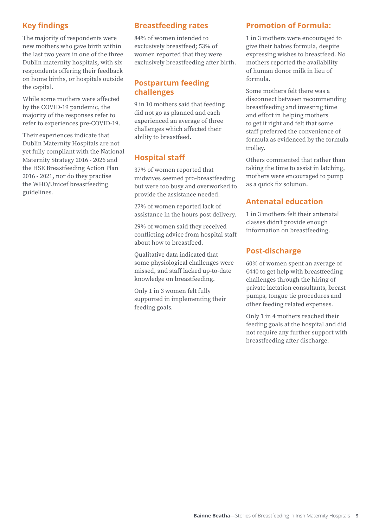# **Key findings**

The majority of respondents were new mothers who gave birth within the last two years in one of the three Dublin maternity hospitals, with six respondents offering their feedback on home births, or hospitals outside the capital.

While some mothers were affected by the COVID-19 pandemic, the majority of the responses refer to refer to experiences pre-COVID-19.

Their experiences indicate that Dublin Maternity Hospitals are not yet fully compliant with the National Maternity Strategy 2016 - 2026 and the HSE Breastfeeding Action Plan 2016 - 2021, nor do they practise the WHO/Unicef breastfeeding guidelines.

# **Breastfeeding rates**

84% of women intended to exclusively breastfeed; 53% of women reported that they were exclusively breastfeeding after birth.

# **Postpartum feeding challenges**

9 in 10 mothers said that feeding did not go as planned and each experienced an average of three challenges which affected their ability to breastfeed.

# **Hospital staff**

37% of women reported that midwives seemed pro-breastfeeding but were too busy and overworked to provide the assistance needed.

27% of women reported lack of assistance in the hours post delivery.

29% of women said they received conflicting advice from hospital staff about how to breastfeed.

Qualitative data indicated that some physiological challenges were missed, and staff lacked up-to-date knowledge on breastfeeding.

Only 1 in 3 women felt fully supported in implementing their feeding goals.

# **Promotion of Formula:**

1 in 3 mothers were encouraged to give their babies formula, despite expressing wishes to breastfeed. No mothers reported the availability of human donor milk in lieu of formula.

Some mothers felt there was a disconnect between recommending breastfeeding and investing time and effort in helping mothers to get it right and felt that some staff preferred the convenience of formula as evidenced by the formula trolley.

Others commented that rather than taking the time to assist in latching, mothers were encouraged to pump as a quick fix solution.

# **Antenatal education**

1 in 3 mothers felt their antenatal classes didn't provide enough information on breastfeeding.

# **Post-discharge**

60% of women spent an average of €440 to get help with breastfeeding challenges through the hiring of private lactation consultants, breast pumps, tongue tie procedures and other feeding related expenses.

Only 1 in 4 mothers reached their feeding goals at the hospital and did not require any further support with breastfeeding after discharge.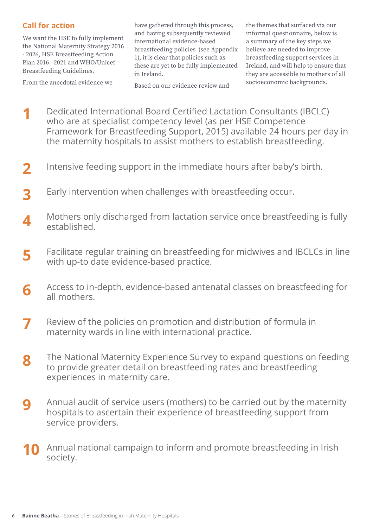# **Call for action**

We want the HSE to fully implement the National Maternity Strategy 2016 - 2026, HSE Breastfeeding Action Plan 2016 - 2021 and WHO/Unicef Breastfeeding Guidelines.

From the anecdotal evidence we

have gathered through this process, and having subsequently reviewed international evidence-based breastfeeding policies (see Appendix 1), it is clear that policies such as these are yet to be fully implemented in Ireland.

Based on our evidence review and

the themes that surfaced via our informal questionnaire, below is a summary of the key steps we believe are needed to improve breastfeeding support services in Ireland, and will help to ensure that they are accessible to mothers of all socioeconomic backgrounds.

- Dedicated International Board Certified Lactation Consultants (IBCLC) who are at specialist competency level (as per HSE Competence Framework for Breastfeeding Support, 2015) available 24 hours per day in the maternity hospitals to assist mothers to establish breastfeeding. **1**
- Intensive feeding support in the immediate hours after baby's birth. **2**
- Early intervention when challenges with breastfeeding occur. **3**
- Mothers only discharged from lactation service once breastfeeding is fully established. **4**
- Facilitate regular training on breastfeeding for midwives and IBCLCs in line with up-to date evidence-based practice. **5**
- Access to in-depth, evidence-based antenatal classes on breastfeeding for all mothers. **6**
- Review of the policies on promotion and distribution of formula in maternity wards in line with international practice. **7**
- The National Maternity Experience Survey to expand questions on feeding to provide greater detail on breastfeeding rates and breastfeeding experiences in maternity care. **8**
- Annual audit of service users (mothers) to be carried out by the maternity hospitals to ascertain their experience of breastfeeding support from service providers. **9**
- Annual national campaign to inform and promote breastfeeding in Irish society. **10**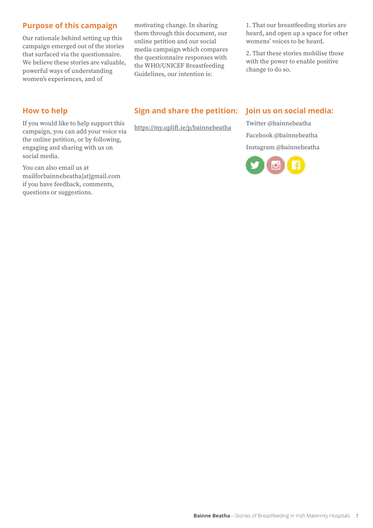# **Purpose of this campaign**

Our rationale behind setting up this campaign emerged out of the stories that surfaced via the questionnaire. We believe these stories are valuable, powerful ways of understanding women's experiences, and of

motivating change. In sharing them through this document, our online petition and our social media campaign which compares the questionnaire responses with the WHO/UNICEF Breastfeeding Guidelines, our intention is:

1. That our breastfeeding stories are heard, and open up a space for other womens' voices to be heard.

2. That these stories mobilise those with the power to enable positive change to do so.

### **How to help**

If you would like to help support this campaign, you can add your voice via the online petition, or by following, engaging and sharing with us on social media.

You can also email us at mailforbainnebeatha[at]gmail.com if you have feedback, comments, questions or suggestions.

# **Sign and share the petition:**

https://my.uplift.ie/p/bainnebeatha

# **Join us on social media:**

Twitter @bainnebeatha Facebook @bainnebeatha Instagram @bainnebeatha

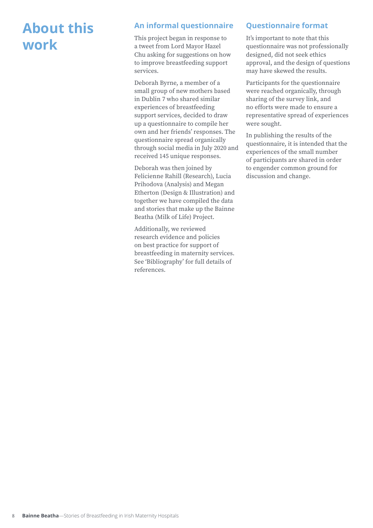# **About this work**

# **An informal questionnaire**

This project began in response to a tweet from Lord Mayor Hazel Chu asking for suggestions on how to improve breastfeeding support services.

Deborah Byrne, a member of a small group of new mothers based in Dublin 7 who shared similar experiences of breastfeeding support services, decided to draw up a questionnaire to compile her own and her friends' responses. The questionnaire spread organically through social media in July 2020 and received 145 unique responses.

Deborah was then joined by Felicienne Rahill (Research), Lucia Prihodova (Analysis) and Megan Etherton (Design & Illustration) and together we have compiled the data and stories that make up the Bainne Beatha (Milk of Life) Project.

Additionally, we reviewed research evidence and policies on best practice for support of breastfeeding in maternity services. See 'Bibliography' for full details of references.

# **Questionnaire format**

It's important to note that this questionnaire was not professionally designed, did not seek ethics approval, and the design of questions may have skewed the results.

Participants for the questionnaire were reached organically, through sharing of the survey link, and no efforts were made to ensure a representative spread of experiences were sought.

In publishing the results of the questionnaire, it is intended that the experiences of the small number of participants are shared in order to engender common ground for discussion and change.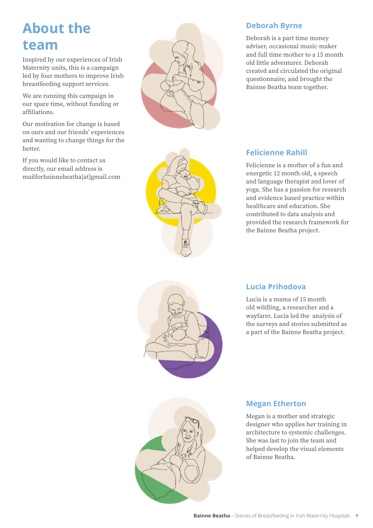# **About the team**

Inspired by our experiences of Irish Maternity units, this is a campaign led by four mothers to improve Irish breastfeeding support services.

We are running this campaign in our spare time, without funding or affiliations.

Our motivation for change is based on ours and our friends' experiences and wanting to change things for the better.

If you would like to contact us directly, our email address is mailforbainnebeatha[at]gmail.com



# **Deborah Byrne**

Deborah is a part time money adviser, occasional music-maker and full time mother to a 15 month old little adventurer. Deborah created and circulated the original questionnaire, and brought the Bainne Beatha team together.

# **Felicienne Rahill**

Felicienne is a mother of a fun and energetic 12 month old, a speech and language therapist and lover of yoga. She has a passion for research and evidence based practice within healthcare and education. She contributed to data analysis and provided the research framework for the Bainne Beatha project.



# **Lucia Prihodova**

Lucia is a mama of 15 month old wildling, a researcher and a wayfarer. Lucia led the analysis of the surveys and stories submitted as a part of the Bainne Beatha project.



# **Megan Etherton**

Megan is a mother and strategic designer who applies her training in architecture to systemic challenges. She was last to join the team and helped develop the visual elements of Bainne Beatha.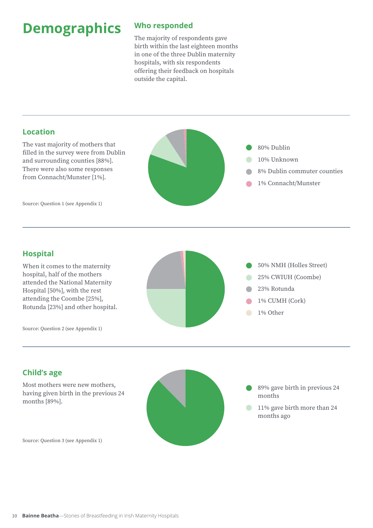# **Demographics**

# **Who responded**

The majority of respondents gave birth within the last eighteen months in one of the three Dublin maternity hospitals, with six respondents offering their feedback on hospitals outside the capital.

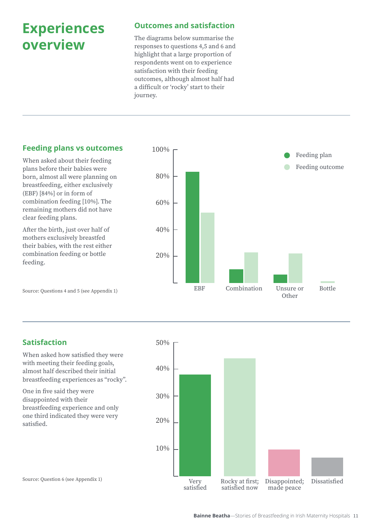# **Experiences overview**

# **Outcomes and satisfaction**

The diagrams below summarise the responses to questions 4,5 and 6 and highlight that a large proportion of respondents went on to experience satisfaction with their feeding outcomes, although almost half had a difficult or 'rocky' start to their journey.

# **Feeding plans vs outcomes**

When asked about their feeding plans before their babies were born, almost all were planning on breastfeeding, either exclusively (EBF) [84%] or in form of combination feeding [10%]. The remaining mothers did not have clear feeding plans.

After the birth, just over half of mothers exclusively breastfed their babies, with the rest either combination feeding or bottle feeding.



Source: Questions 4 and 5 (see Appendix 1)

# **Satisfaction**

When asked how satisfied they were with meeting their feeding goals, almost half described their initial breastfeeding experiences as "rocky".

One in five said they were disappointed with their breastfeeding experience and only one third indicated they were very satisfied.

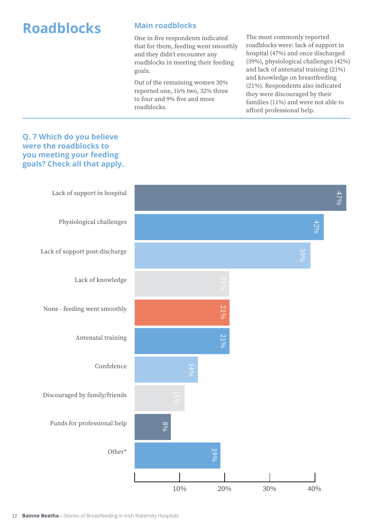# **Roadblocks**

# **Main roadblocks**

One in five respondents indicated that for them, feeding went smoothly and they didn't encounter any roadblocks in meeting their feeding goals.

Out of the remaining women 30% reported one, 16% two, 32% three to four and 9% five and more roadblocks.

The most commonly reported roadblocks were: lack of support in hospital (47%) and once discharged (39%), physiological challenges (42%) and lack of antenatal training (21%) and knowledge on breastfeeding (21%). Respondents also indicated they were discouraged by their families (11%) and were not able to afford professional help.

# **Q. 7 Which do you believe were the roadblocks to you meeting your feeding goals? Check all that apply.**

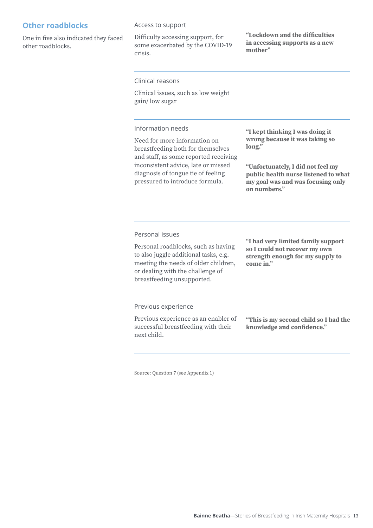# **Other roadblocks**

One in five also indicated they faced other roadblocks.

### Access to support

Difficulty accessing support, for some exacerbated by the COVID-19 crisis.

**"Lockdown and the difficulties in accessing supports as a new mother"** 

Clinical reasons

Clinical issues, such as low weight gain/ low sugar

### Information needs

Need for more information on breastfeeding both for themselves and staff, as some reported receiving inconsistent advice, late or missed diagnosis of tongue tie of feeling pressured to introduce formula.

**"I kept thinking I was doing it wrong because it was taking so long."** 

**"Unfortunately, I did not feel my public health nurse listened to what my goal was and was focusing only on numbers."**

Personal issues

Personal roadblocks, such as having to also juggle additional tasks, e.g. meeting the needs of older children, or dealing with the challenge of breastfeeding unsupported.

**"I had very limited family support so I could not recover my own strength enough for my supply to come in."**

Previous experience

Previous experience as an enabler of successful breastfeeding with their next child.

**"This is my second child so I had the knowledge and confidence."**

Source: Question 7 (see Appendix 1)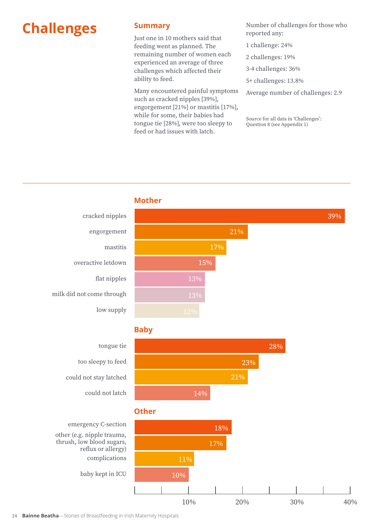# **Challenges**

## **Summary**

Just one in 10 mothers said that feeding went as planned. The remaining number of women each experienced an average of three challenges which affected their ability to feed.

Many encountered painful symptoms such as cracked nipples [39%], engorgement [21%] or mastitis [17%], while for some, their babies had tongue tie [28%], were too sleepy to feed or had issues with latch.

Number of challenges for those who reported any:

- 1 challenge: 24%
- 2 challenges: 19%
- 3-4 challenges: 36%
- 5+ challenges: 13.8%
- Average number of challenges: 2.9

Source for all data in 'Challenges': Question 8 (see Appendix 1)

## **Mother**



# **Baby**



# **Other**



tongue tie too sleepy to feed could not stay latched

could not latch

cracked nipples

overactive letdown

milk did not come through

engorgement

mastitis

flat nipples

low supply

emergency C-section other (e.g. nipple trauma, thrush, low blood sugars, reflux or allergy) complications

baby kept in ICU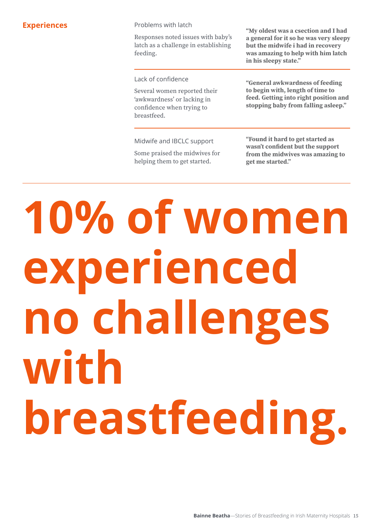Problems with latch

Responses noted issues with baby's latch as a challenge in establishing feeding.

Lack of confidence

Several women reported their 'awkwardness' or lacking in confidence when trying to breastfeed.

**Experiences Experiences Problems** with latch **"My oldest was a csection and I had a general for it so he was very sleepy but the midwife i had in recovery was amazing to help with him latch in his sleepy state."**

> **"General awkwardness of feeding to begin with, length of time to feed. Getting into right position and stopping baby from falling asleep."**

Midwife and IBCLC support

Some praised the midwives for helping them to get started.

**"Found it hard to get started as wasn't confident but the support from the midwives was amazing to get me started."** 

# **10% of women experienced no challenges with breastfeeding.**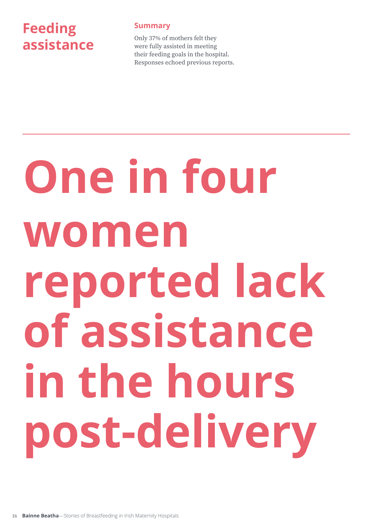# **Feeding assistance**

# **Summary**

Only 37% of mothers felt they were fully assisted in meeting their feeding goals in the hospital. Responses echoed previous reports.

# **One in four women reported lack of assistance in the hours post-delivery**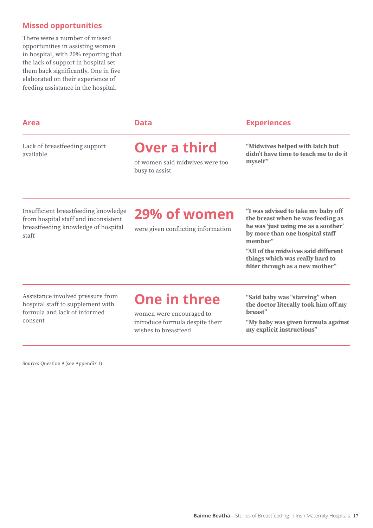# **Missed opportunities**

There were a number of missed opportunities in assisting women in hospital, with 20% reporting that the lack of support in hospital set them back significantly. One in five elaborated on their experience of feeding assistance in the hospital.

### Lack of breastfeeding support available

# **Over a third**

of women said midwives were too busy to assist

### **Area Data Experiences**

**"Midwives helped with latch but didn't have time to teach me to do it**  myself"

Insufficient breastfeeding knowledge from hospital staff and inconsistent breastfeeding knowledge of hospital staff

# **29% of women**

were given conflicting information

**"I was advised to take my baby off the breast when he was feeding as he was 'just using me as a soother' by more than one hospital staff member"**

**"All of the midwives said different things which was really hard to filter through as a new mother"**

Assistance involved pressure from hospital staff to supplement with formula and lack of informed consent

# **One in three**

women were encouraged to introduce formula despite their wishes to breastfeed

**"Said baby was "starving" when the doctor literally took him off my breast"**

**"My baby was given formula against my explicit instructions"**

Source: Question 9 (see Appendix 1)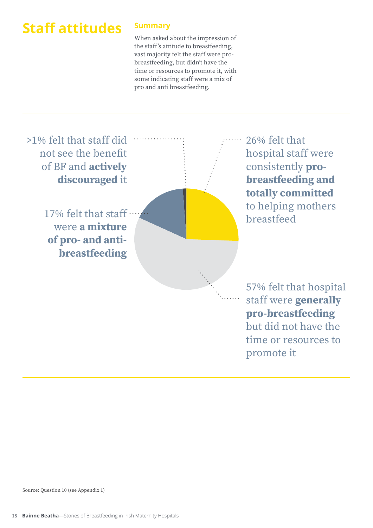# **Staff attitudes**

# **Summary**

When asked about the impression of the staff's attitude to breastfeeding, vast majority felt the staff were probreastfeeding, but didn't have the time or resources to promote it, with some indicating staff were a mix of pro and anti breastfeeding.

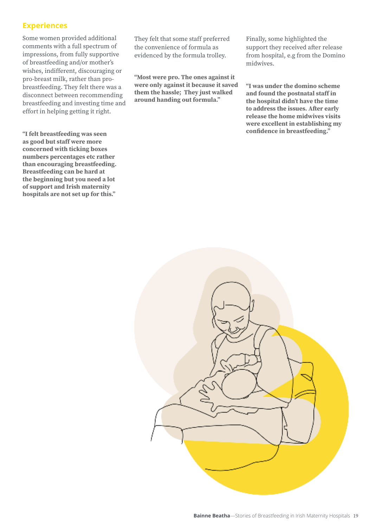# **Experiences**

Some women provided additional comments with a full spectrum of impressions, from fully supportive of breastfeeding and/or mother's wishes, indifferent, discouraging or pro-breast milk, rather than probreastfeeding. They felt there was a disconnect between recommending breastfeeding and investing time and effort in helping getting it right.

**"I felt breastfeeding was seen as good but staff were more concerned with ticking boxes numbers percentages etc rather than encouraging breastfeeding. Breastfeeding can be hard at the beginning but you need a lot of support and Irish maternity hospitals are not set up for this."**

They felt that some staff preferred the convenience of formula as evidenced by the formula trolley.

**"Most were pro. The ones against it were only against it because it saved them the hassle; They just walked around handing out formula."**

Finally, some highlighted the support they received after release from hospital, e.g from the Domino midwives.

**"I was under the domino scheme and found the postnatal staff in the hospital didn't have the time to address the issues. After early release the home midwives visits were excellent in establishing my confidence in breastfeeding."**

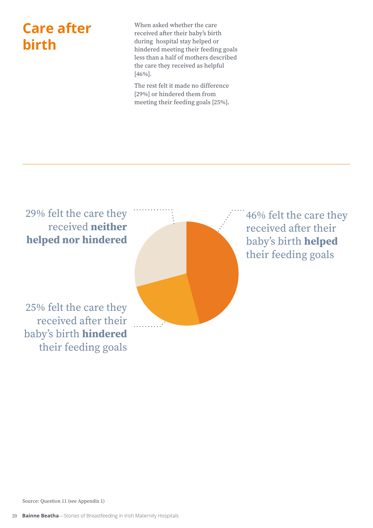# **Care after birth**

When asked whether the care received after their baby's birth during hospital stay helped or hindered meeting their feeding goals less than a half of mothers described the care they received as helpful [46%].

The rest felt it made no difference [29%] or hindered them from meeting their feeding goals [25%].

29% felt the care they received **neither helped nor hindered**

25% felt the care they received after their baby's birth **hindered** their feeding goals



46% felt the care they received after their baby's birth **helped** their feeding goals

Source: Question 11 (see Appendix 1)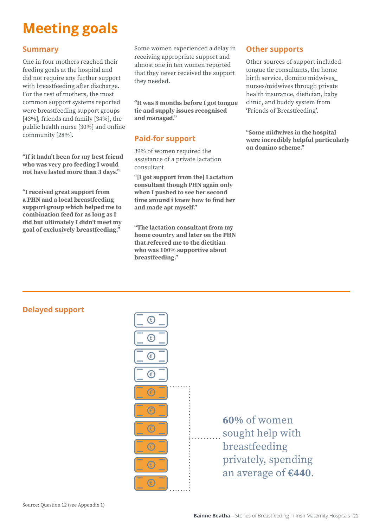# **Meeting goals**

# **Summary**

One in four mothers reached their feeding goals at the hospital and did not require any further support with breastfeeding after discharge. For the rest of mothers, the most common support systems reported were breastfeeding support groups [43%], friends and family [34%], the public health nurse [30%] and online community [28%].

**"If it hadn't been for my best friend who was very pro feeding I would not have lasted more than 3 days."**

**"I received great support from a PHN and a local breastfeeding support group which helped me to combination feed for as long as I did but ultimately I didn't meet my goal of exclusively breastfeeding."**

Some women experienced a delay in receiving appropriate support and almost one in ten women reported that they never received the support they needed.

**"It was 8 months before I got tongue tie and supply issues recognised and managed."**

# **Paid-for support**

39% of women required the assistance of a private lactation consultant

**"[I got support from the] Lactation consultant though PHN again only when I pushed to see her second time around i knew how to find her and made apt myself."**

**"The lactation consultant from my home country and later on the PHN that referred me to the dietitian who was 100% supportive about breastfeeding."**

# **Other supports**

Other sources of support included tongue tie consultants, the home birth service, domino midwives*,*  nurses/midwives through private health insurance, dietician, baby clinic, and buddy system from 'Friends of Breastfeeding'.

**"Some midwives in the hospital were incredibly helpful particularly on domino scheme."**

# **Delayed support**



**60%** of women sought help with breastfeeding privately, spending an average of **€440**.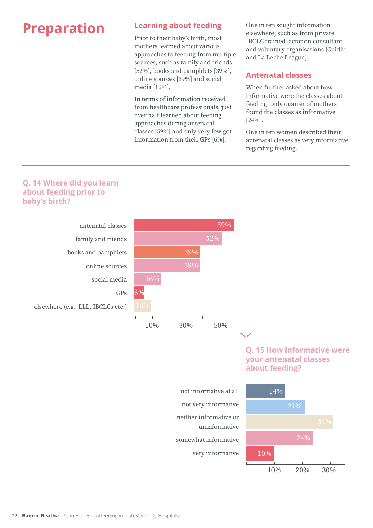# **Preparation Learning about feeding**

Prior to their baby's birth, most mothers learned about various approaches to feeding from multiple sources, such as family and friends [52%], books and pamphlets [39%], online sources [39%] and social media [16%].

In terms of information received from healthcare professionals, just over half learned about feeding approaches during antenatal classes [59%] and only very few got information from their GPs [6%].

One in ten sought information elsewhere, such as from private IBCLC trained lactation consultant and voluntary organisations [Cuidiu and La Leche League].

# **Antenatal classes**

When further asked about how informative were the classes about feeding, only quarter of mothers found the classes as informative [24%].

One in ten women described their antenatal classes as very informative regarding feeding.

# **Q. 14 Where did you learn about feeding prior to baby's birth?**



# **Q. 15 How informative were your antenatal classes about feeding?**



not informative at all not very informative neither informative or uninformative somewhat informative very informative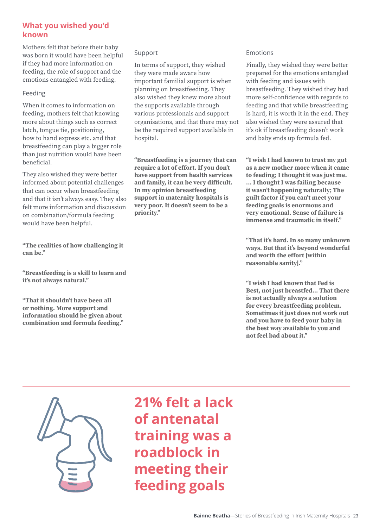# **What you wished you'd known**

Mothers felt that before their baby was born it would have been helpful if they had more information on feeding, the role of support and the emotions entangled with feeding.

### Feeding

When it comes to information on feeding, mothers felt that knowing more about things such as correct latch, tongue tie, positioning, how to hand express etc. and that breastfeeding can play a bigger role than just nutrition would have been beneficial.

They also wished they were better informed about potential challenges that can occur when breastfeeding and that it isn't always easy. They also felt more information and discussion on combination/formula feeding would have been helpful.

**"The realities of how challenging it can be."**

**"Breastfeeding is a skill to learn and it's not always natural."**

**"That it shouldn't have been all or nothing. More support and information should be given about combination and formula feeding."** 

### Support

In terms of support, they wished they were made aware how important familial support is when planning on breastfeeding. They also wished they knew more about the supports available through various professionals and support organisations, and that there may not be the required support available in hospital.

**"Breastfeeding is a journey that can require a lot of effort. If you don't have support from health services and family, it can be very difficult. In my opinion breastfeeding support in maternity hospitals is very poor. It doesn't seem to be a priority."**

### Emotions

Finally, they wished they were better prepared for the emotions entangled with feeding and issues with breastfeeding. They wished they had more self-confidence with regards to feeding and that while breastfeeding is hard, it is worth it in the end. They also wished they were assured that it's ok if breastfeeding doesn't work and baby ends up formula fed.

**"I wish I had known to trust my gut as a new mother more when it came to feeding; I thought it was just me. ... I thought I was failing because it wasn't happening naturally; The guilt factor if you can't meet your feeding goals is enormous and very emotional. Sense of failure is immense and traumatic in itself."**

**"That it's hard. In so many unknown ways. But that it's beyond wonderful and worth the effort [within reasonable sanity]."**

**"I wish I had known that Fed is Best, not just breastfed... That there is not actually always a solution for every breastfeeding problem. Sometimes it just does not work out and you have to feed your baby in the best way available to you and not feel bad about it."**



**21% felt a lack of antenatal training was a roadblock in meeting their feeding goals**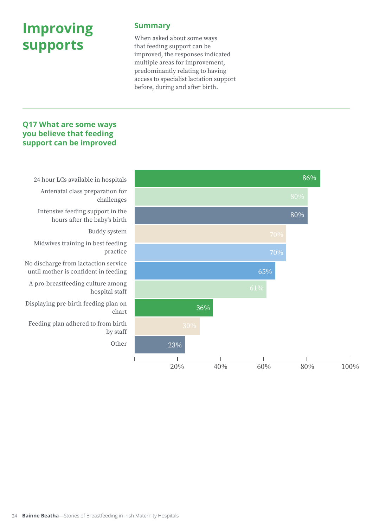# **Improving supports**

### **Summary**

When asked about some ways that feeding support can be improved, the responses indicated multiple areas for improvement, predominantly relating to having access to specialist lactation support before, during and after birth.

## **Q17 What are some ways you believe that feeding support can be improved**



Antenatal class preparation for challenges

 Intensive feeding support in the hours after the baby's birth

Buddy system

 Midwives training in best feeding practice

No discharge from lactaction service until mother is confident in feeding

 A pro-breastfeeding culture among hospital staff

Displaying pre-birth feeding plan on chart

 Feeding plan adhered to from birth by staff

Other

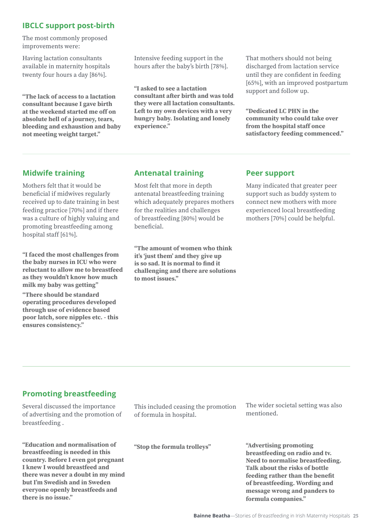# **IBCLC support post-birth**

The most commonly proposed improvements were:

Having lactation consultants available in maternity hospitals twenty four hours a day [86%].

**"The lack of access to a lactation consultant because I gave birth at the weekend started me off on absolute hell of a journey, tears, bleeding and exhaustion and baby not meeting weight target."**

Intensive feeding support in the hours after the baby's birth [78%].

**"I asked to see a lactation consultant after birth and was told they were all lactation consultants. Left to my own devices with a very hungry baby. Isolating and lonely experience."**

That mothers should not being discharged from lactation service until they are confident in feeding [65%], with an improved postpartum support and follow up.

**"Dedicated LC PHN in the community who could take over from the hospital staff once satisfactory feeding commenced."**

# **Midwife training**

Mothers felt that it would be beneficial if midwives regularly received up to date training in best feeding practice [70%] and if there was a culture of highly valuing and promoting breastfeeding among hospital staff [61%].

**"I faced the most challenges from the baby nurses in ICU who were reluctant to allow me to breastfeed as they wouldn't know how much milk my baby was getting"**

**"There should be standard operating procedures developed through use of evidence based poor latch, sore nipples etc. - this ensures consistency."**

# **Antenatal training**

Most felt that more in depth antenatal breastfeeding training which adequately prepares mothers for the realities and challenges of breastfeeding [80%] would be beneficial.

**"The amount of women who think it's 'just them' and they give up is so sad. It is normal to find it challenging and there are solutions to most issues."**

## **Peer support**

Many indicated that greater peer support such as buddy system to connect new mothers with more experienced local breastfeeding mothers [70%] could be helpful.

# **Promoting breastfeeding**

Several discussed the importance of advertising and the promotion of breastfeeding .

**"Education and normalisation of breastfeeding is needed in this country. Before I even got pregnant I knew I would breastfeed and there was never a doubt in my mind but I'm Swedish and in Sweden everyone openly breastfeeds and there is no issue."**

This included ceasing the promotion of formula in hospital.

**"Stop the formula trolleys"**

The wider societal setting was also mentioned.

**"Advertising promoting breastfeeding on radio and tv. Need to normalise breastfeeding. Talk about the risks of bottle feeding rather than the benefit of breastfeeding. Wording and message wrong and panders to formula companies."**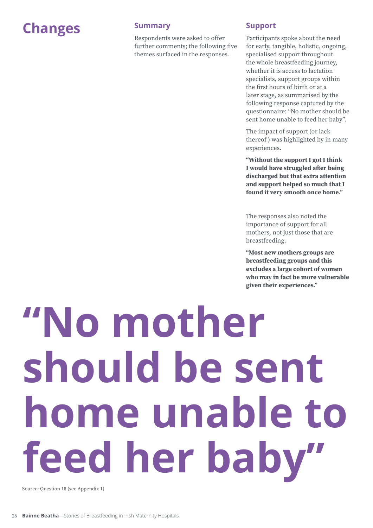# **Changes Summary**

Respondents were asked to offer further comments; the following five themes surfaced in the responses.

### **Support**

Participants spoke about the need for early, tangible, holistic, ongoing, specialised support throughout the whole breastfeeding journey, whether it is access to lactation specialists, support groups within the first hours of birth or at a later stage, as summarised by the following response captured by the questionnaire: "No mother should be sent home unable to feed her baby".

The impact of support (or lack thereof ) was highlighted by in many experiences.

**"Without the support I got I think I would have struggled after being discharged but that extra attention and support helped so much that I found it very smooth once home."** 

The responses also noted the importance of support for all mothers, not just those that are breastfeeding.

**"Most new mothers groups are breastfeeding groups and this excludes a large cohort of women who may in fact be more vulnerable given their experiences."** 

**"No mother should be sent home unable to feed her baby"**

Source: Question 18 (see Appendix 1)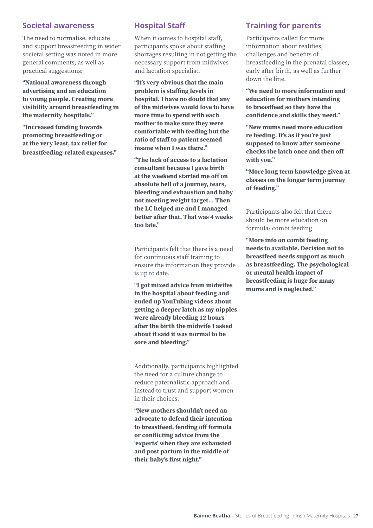### **Societal awareness**

The need to normalise, educate and support breastfeeding in wider societal setting was noted in more general comments, as well as practical suggestions:

**"National awareness through advertising and an education to young people. Creating more visibility around breastfeeding in the maternity hospitals."**

**"Increased funding towards promoting breastfeeding or at the very least, tax relief for breastfeeding-related expenses."**

# **Hospital Staff**

When it comes to hospital staff, participants spoke about staffing shortages resulting in not getting the necessary support from midwives and lactation specialist.

**"It's very obvious that the main problem is staffing levels in hospital. I have no doubt that any of the midwives would love to have more time to spend with each mother to make sure they were comfortable with feeding but the ratio of staff to patient seemed insane when I was there."**

**"The lack of access to a lactation consultant because I gave birth at the weekend started me off on absolute hell of a journey, tears, bleeding and exhaustion and baby not meeting weight target… Then the LC helped me and I managed better after that. That was 4 weeks too late."**

Participants felt that there is a need for continuous staff training to ensure the information they provide is up to date.

**"I got mixed advice from midwifes in the hospital about feeding and ended up YouTubing videos about getting a deeper latch as my nipples were already bleeding 12 hours after the birth the midwife I asked about it said it was normal to be sore and bleeding."**

Additionally, participants highlighted the need for a culture change to reduce paternalistic approach and instead to trust and support women in their choices.

**"New mothers shouldn't need an advocate to defend their intention to breastfeed, fending off formula or conflicting advice from the 'experts' when they are exhausted and post partum in the middle of their baby's first night."**

## **Training for parents**

Participants called for more information about realities, challenges and benefits of breastfeeding in the prenatal classes, early after birth, as well as further down the line.

**"We need to more information and education for mothers intending to breastfeed so they have the confidence and skills they need."**

**"New mums need more education re feeding. It's as if you're just supposed to know after someone checks the latch once and then off with you."**

**"More long term knowledge given at classes on the longer term journey of feeding."**

Participants also felt that there should be more education on formula/ combi feeding

**"More info on combi feeding needs to available. Decision not to breastfeed needs support as much as breastfeeding. The psychological or mental health impact of breastfeeding is huge for many mums and is neglected."**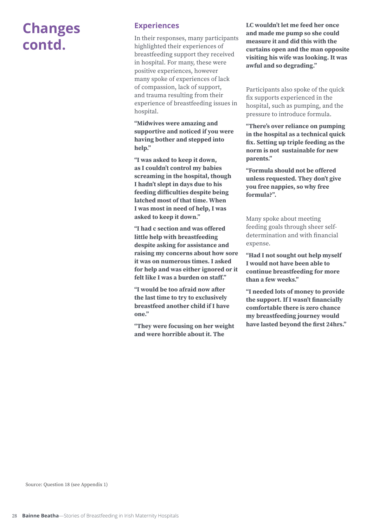# **Changes contd.**

### **Experiences**

In their responses, many participants highlighted their experiences of breastfeeding support they received in hospital. For many, these were positive experiences, however many spoke of experiences of lack of compassion, lack of support, and trauma resulting from their experience of breastfeeding issues in hospital.

**"Midwives were amazing and supportive and noticed if you were having bother and stepped into help."**

**"I was asked to keep it down, as I couldn't control my babies screaming in the hospital, though I hadn't slept in days due to his feeding difficulties despite being latched most of that time. When I was most in need of help, I was asked to keep it down."**

**"I had c section and was offered little help with breastfeeding despite asking for assistance and raising my concerns about how sore it was on numerous times. I asked for help and was either ignored or it felt like I was a burden on staff."**

**"I would be too afraid now after the last time to try to exclusively breastfeed another child if I have one."**

**"They were focusing on her weight and were horrible about it. The** 

**LC wouldn't let me feed her once and made me pump so she could measure it and did this with the curtains open and the man opposite visiting his wife was looking. It was awful and so degrading."**

Participants also spoke of the quick fix supports experienced in the hospital, such as pumping, and the pressure to introduce formula.

**"There's over reliance on pumping in the hospital as a technical quick fix. Setting up triple feeding as the norm is not sustainable for new parents."**

**"Formula should not be offered unless requested. They don't give you free nappies, so why free formula?".**

Many spoke about meeting feeding goals through sheer selfdetermination and with financial expense.

**"Had I not sought out help myself I would not have been able to continue breastfeeding for more than a few weeks."**

**"I needed lots of money to provide the support. If I wasn't financially comfortable there is zero chance my breastfeeding journey would have lasted beyond the first 24hrs."**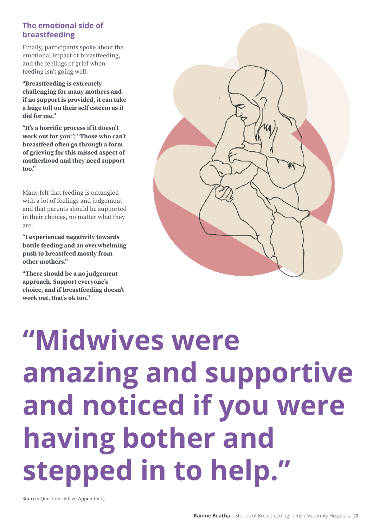# **The emotional side of breastfeeding**

Finally, participants spoke about the emotional impact of breastfeeding, and the feelings of grief when feeding isn't going well.

**"Breastfeeding is extremely challenging for many mothers and if no support is provided, it can take a huge toll on their self esteem as it did for me."**

**"It's a horrific process if it doesn't work out for you."; "Those who can't breastfeed often go through a form of grieving for this missed aspect of motherhood and they need support too."**

Many felt that feeding is entangled with a lot of feelings and judgement and that parents should be supported in their choices, no matter what they are.

**"I experienced negativity towards bottle feeding and an overwhelming push to breastfeed mostly from other mothers."**

**"There should be a no judgement approach. Support everyone's choice, and if breastfeeding doesn't work out, that's ok too."**



# **"Midwives were amazing and supportive and noticed if you were having bother and stepped in to help."**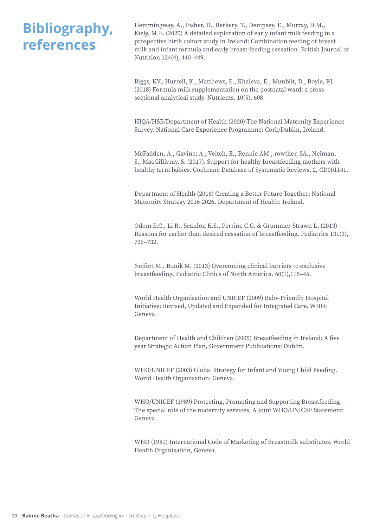# **Bibliography, references**

Hemmingway, A., Fisher, D., Berkery, T., Dempsey, E., Murray, D.M., Kiely, M.E. (2020) A detailed exploration of early infant milk feeding in a prospective birth cohort study in Ireland: Combination feeding of breast milk and infant formula and early breast-feeding cessation. British Journal of Nutrition 124(4), 440–449.

Biggs, KV., Hurrell, K., Matthews, E., Khaleva, E., Munblit, D., Boyle, RJ. (2018) Formula milk supplementation on the postnatal ward: a crosssectional analytical study. Nutrients. 10(5), 608.

HIQA/HSE/Department of Health (2020) The National Maternity Experience Survey. National Care Experience Programme: Cork/Dublin, Ireland.

McFadden, A., Gavine; A., Veitch, E., Rennie AM., rowther, SA., Neiman, S., MacGillivray, S. (2017). Support for healthy breastfeeding mothers with healthy term babies. Cochrane Database of Systematic Reviews, 2, CD001141.

Department of Health (2016) Creating a Better Future Together: National Maternity Strategy 2016-2026. Department of Health: Ireland.

Odom E.C., Li R., Scanlon K.S., Perrine C.G. & Grummer-Strawn L. (2013) Reasons for earlier than desired cessation of breastfeeding. Pediatrics 131(3), 726–732.

Neifert M., Bunik M. (2013) Overcoming clinical barriers to exclusive breastfeeding. Pediatric Clinics of North America. 60(1),115–45.

World Health Organisation and UNICEF (2009) Baby-Friendly Hospital Initiative: Revised, Updated and Expanded for Integrated Care. WHO: Geneva.

Department of Health and Children (2005) Breastfeeding in Ireland: A five year Strategic Action Plan, Government Publications: Dublin.

WHO/UNICEF (2003) Global Strategy for Infant and Young Child Feeding. World Health Organisation: Geneva.

WHO/UNICEF (1989) Protecting, Promoting and Supporting Breastfeeding – The special role of the maternity services. A Joint WHO/UNICEF Statement: Geneva.

WHO (1981) International Code of Marketing of Breastmilk substitutes. World Health Organisation, Geneva.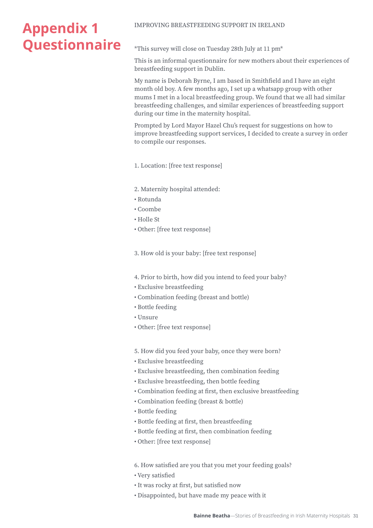# **Appendix 1 Questionnaire**

### IMPROVING BREASTFEEDING SUPPORT IN IRELAND

\*This survey will close on Tuesday 28th July at 11 pm\*

This is an informal questionnaire for new mothers about their experiences of breastfeeding support in Dublin.

My name is Deborah Byrne, I am based in Smithfield and I have an eight month old boy. A few months ago, I set up a whatsapp group with other mums I met in a local breastfeeding group. We found that we all had similar breastfeeding challenges, and similar experiences of breastfeeding support during our time in the maternity hospital.

Prompted by Lord Mayor Hazel Chu's request for suggestions on how to improve breastfeeding support services, I decided to create a survey in order to compile our responses.

1. Location: [free text response]

- 2. Maternity hospital attended:
- Rotunda
- Coombe
- Holle St
- Other: [free text response]

3. How old is your baby: [free text response]

4. Prior to birth, how did you intend to feed your baby?

- Exclusive breastfeeding
- Combination feeding (breast and bottle)
- Bottle feeding
- Unsure
- Other: [free text response]

5. How did you feed your baby, once they were born?

- Exclusive breastfeeding
- Exclusive breastfeeding, then combination feeding
- Exclusive breastfeeding, then bottle feeding
- Combination feeding at first, then exclusive breastfeeding
- Combination feeding (breast & bottle)
- Bottle feeding
- Bottle feeding at first, then breastfeeding
- Bottle feeding at first, then combination feeding
- Other: [free text response]

6. How satisfied are you that you met your feeding goals?

- Very satisfied
- It was rocky at first, but satisfied now
- Disappointed, but have made my peace with it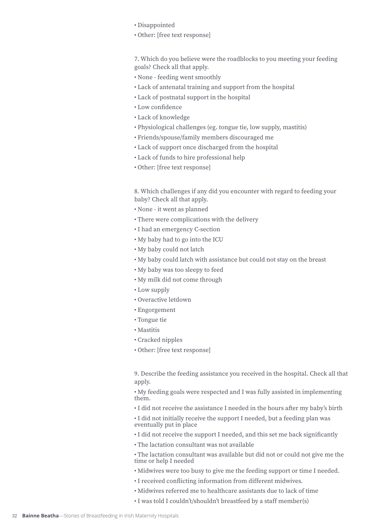- Disappointed
- Other: [free text response]

7. Which do you believe were the roadblocks to you meeting your feeding goals? Check all that apply.

- None feeding went smoothly
- Lack of antenatal training and support from the hospital
- Lack of postnatal support in the hospital
- Low confidence
- Lack of knowledge
- Physiological challenges (eg. tongue tie, low supply, mastitis)
- Friends/spouse/family members discouraged me
- Lack of support once discharged from the hospital
- Lack of funds to hire professional help
- Other: [free text response]

8. Which challenges if any did you encounter with regard to feeding your baby? Check all that apply.

- None it went as planned
- There were complications with the delivery
- I had an emergency C-section
- My baby had to go into the ICU
- My baby could not latch
- My baby could latch with assistance but could not stay on the breast
- My baby was too sleepy to feed
- My milk did not come through
- Low supply
- Overactive letdown
- Engorgement
- Tongue tie
- Mastitis
- Cracked nipples
- Other: [free text response]

9. Describe the feeding assistance you received in the hospital. Check all that apply.

• My feeding goals were respected and I was fully assisted in implementing them.

• I did not receive the assistance I needed in the hours after my baby's birth

• I did not initially receive the support I needed, but a feeding plan was eventually put in place

- I did not receive the support I needed, and this set me back significantly
- The lactation consultant was not available
- The lactation consultant was available but did not or could not give me the time or help I needed
- Midwives were too busy to give me the feeding support or time I needed.
- I received conflicting information from different midwives.
- Midwives referred me to healthcare assistants due to lack of time
- I was told I couldn't/shouldn't breastfeed by a staff member(s)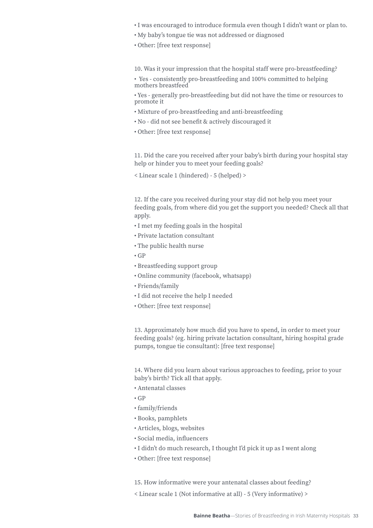- I was encouraged to introduce formula even though I didn't want or plan to.
- My baby's tongue tie was not addressed or diagnosed
- Other: [free text response]

10. Was it your impression that the hospital staff were pro-breastfeeding?

• Yes - consistently pro-breastfeeding and 100% committed to helping mothers breastfeed

• Yes - generally pro-breastfeeding but did not have the time or resources to promote it

- Mixture of pro-breastfeeding and anti-breastfeeding
- No did not see benefit & actively discouraged it
- Other: [free text response]

11. Did the care you received after your baby's birth during your hospital stay help or hinder you to meet your feeding goals?

< Linear scale 1 (hindered) - 5 (helped) >

12. If the care you received during your stay did not help you meet your feeding goals, from where did you get the support you needed? Check all that apply.

- I met my feeding goals in the hospital
- Private lactation consultant
- The public health nurse
- GP
- Breastfeeding support group
- Online community (facebook, whatsapp)
- Friends/family
- I did not receive the help I needed
- Other: [free text response]

13. Approximately how much did you have to spend, in order to meet your feeding goals? (eg. hiring private lactation consultant, hiring hospital grade pumps, tongue tie consultant): [free text response]

14. Where did you learn about various approaches to feeding, prior to your baby's birth? Tick all that apply.

- Antenatal classes
- $\cdot$  GP
- family/friends
- Books, pamphlets
- Articles, blogs, websites
- Social media, influencers
- I didn't do much research, I thought I'd pick it up as I went along
- Other: [free text response]

15. How informative were your antenatal classes about feeding?

< Linear scale 1 (Not informative at all) - 5 (Very informative) >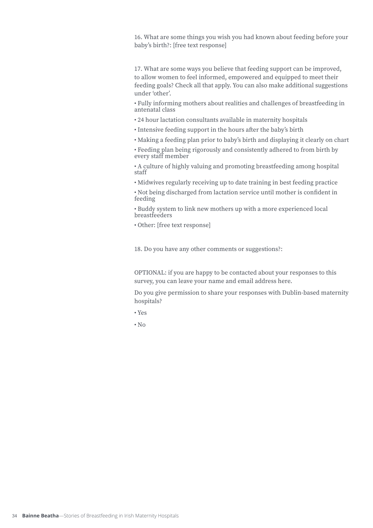16. What are some things you wish you had known about feeding before your baby's birth?: [free text response]

17. What are some ways you believe that feeding support can be improved, to allow women to feel informed, empowered and equipped to meet their feeding goals? Check all that apply. You can also make additional suggestions under 'other'.

• Fully informing mothers about realities and challenges of breastfeeding in antenatal class

• 24 hour lactation consultants available in maternity hospitals

• Intensive feeding support in the hours after the baby's birth

• Making a feeding plan prior to baby's birth and displaying it clearly on chart

• Feeding plan being rigorously and consistently adhered to from birth by every staff member

• A culture of highly valuing and promoting breastfeeding among hospital staff

• Midwives regularly receiving up to date training in best feeding practice

• Not being discharged from lactation service until mother is confident in feeding

• Buddy system to link new mothers up with a more experienced local breastfeeders

• Other: [free text response]

18. Do you have any other comments or suggestions?:

OPTIONAL: if you are happy to be contacted about your responses to this survey, you can leave your name and email address here.

Do you give permission to share your responses with Dublin-based maternity hospitals?

• Yes

 $\cdot$  No